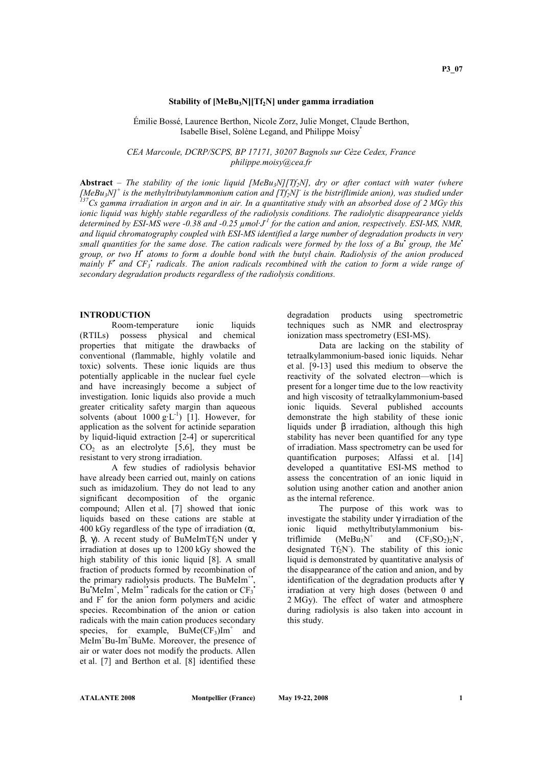#### Stability of  $[MeBu<sub>3</sub>N][Tf<sub>2</sub>N]$  under gamma irradiation

Émilie Bossé, Laurence Berthon, Nicole Zorz, Julie Monget, Claude Berthon, Isabelle Bisel, Solène Legand, and Philippe Moisy\*

CEA Marcoule, DCRP/SCPS, BP 17171, 30207 Bagnols sur Cèze Cedex, France philippe.moisy@cea.fr

Abstract – The stability of the ionic liquid [MeBu<sub>3</sub>N][Tf<sub>2</sub>N], dry or after contact with water (where [MeBu<sub>3</sub>N]<sup>+</sup> is the methyltributylammonium cation and [Tf<sub>2</sub>N]<sup>-</sup> is the bistriflimide anion), was studied under  $^{137}$ Cs gamma irradiation in argon and in air. In a quantitative study with an absorbed dose of 2 MGy this ionic liquid was highly stable regardless of the radiolysis conditions. The radiolytic disappearance yields determined by ESI-MS were -0.38 and -0.25  $\mu$ mol $J<sup>1</sup>$  for the cation and anion, respectively. ESI-MS, NMR, and liquid chromatography coupled with ESI-MS identified a large number of degradation products in very small quantities for the same dose. The cation radicals were formed by the loss of a Bu<sup>+</sup> group, the Me<sup>+</sup> group, or two H<sup>\*</sup> atoms to form a double bond with the butyl chain. Radiolysis of the anion produced mainly F<sup>\*</sup> and  $CF_3$ <sup>\*</sup> radicals. The anion radicals recombined with the cation to form a wide range of secondary degradation products regardless of the radiolysis conditions.

## **INTRODUCTION**

Room-temperature ionic liquids (RTILs) possess physical and chemical properties that mitigate the drawbacks of conventional (flammable, highly volatile and toxic) solvents. These ionic liquids are thus potentially applicable in the nuclear fuel cycle and have increasingly become a subject of investigation. Ionic liquids also provide a much greater criticality safety margin than aqueous solvents (about  $1000 \text{ g} \cdot \text{L}^{-1}$ ) [1]. However, for application as the solvent for actinide separation by liquid-liquid extraction [2-4] or supercritical  $CO<sub>2</sub>$  as an electrolyte [5,6], they must be resistant to very strong irradiation.

A few studies of radiolysis behavior have already been carried out, mainly on cations such as imidazolium. They do not lead to any significant decomposition of the organic compound; Allen et al. [7] showed that ionic liquids based on these cations are stable at 400 kGy regardless of the type of irradiation  $(\alpha)$ , β, γ). A recent study of BuMeImTf<sub>2</sub>N under γ irradiation at doses up to 1200 kGy showed the high stability of this ionic liquid [8]. A small fraction of products formed by recombination of the primary radiolysis products. The BuMeIm<sup>+</sup>, Bu'MeIm<sup>+</sup>, MeIm<sup>++</sup> radicals for the cation or  $CF_3$ <sup>+</sup> and F' for the anion form polymers and acidic species. Recombination of the anion or cation radicals with the main cation produces secondary species, for example,  $BuMe(CF_3)Im^+$  and MeIm<sup>+</sup>Bu-Im<sup>+</sup>BuMe. Moreover, the presence of air or water does not modify the products. Allen et al. [7] and Berthon et al. [8] identified these

degradation products using spectrometric techniques such as NMR and electrospray ionization mass spectrometry (ESI-MS).

Data are lacking on the stability of tetraalkylammonium-based ionic liquids. Nehar et al. [9-13] used this medium to observe the reactivity of the solvated electron—which is present for a longer time due to the low reactivity and high viscosity of tetraalkylammonium-based ionic liquids. Several published accounts demonstrate the high stability of these ionic liquids under β irradiation, although this high stability has never been quantified for any type of irradiation. Mass spectrometry can be used for quantification purposes; Alfassi et al. [14] developed a quantitative ESI-MS method to assess the concentration of an ionic liquid in solution using another cation and another anion as the internal reference.

The purpose of this work was to investigate the stability under γ irradiation of the ionic liquid methyltributylammonium bistriflimide  $(MeBu<sub>3</sub>N<sup>+</sup>)$ and  $(CF_3SO_2)_2N$ , designated  $Tf_2N$ ). The stability of this ionic liquid is demonstrated by quantitative analysis of the disappearance of the cation and anion, and by identification of the degradation products after γ irradiation at very high doses (between 0 and 2 MGy). The effect of water and atmosphere during radiolysis is also taken into account in this study.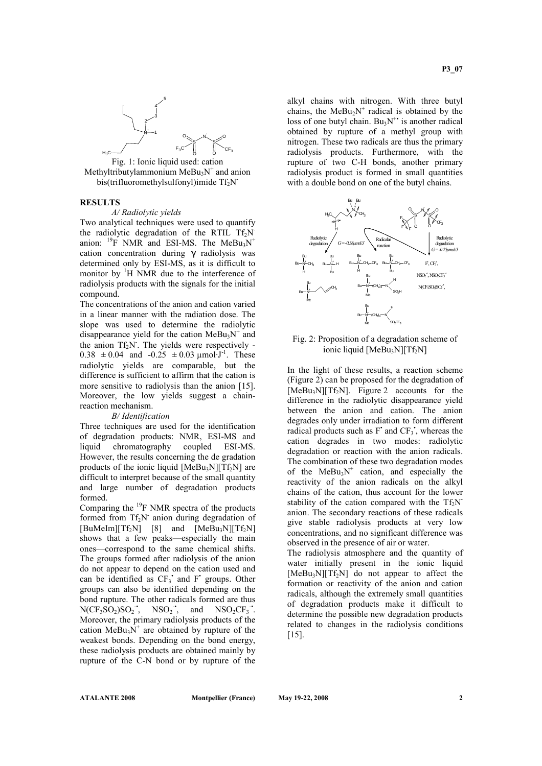

Methyltributylammonium  $\text{MeBu}_3\text{N}^+$  and anion bis(trifluoromethylsulfonyl)imide Tf<sub>2</sub>N<sup>-</sup>

### RESULTS

### A/ Radiolytic yields

Two analytical techniques were used to quantify the radiolytic degradation of the RTIL  $Tf_2N$ anion:  $^{19}$ F NMR and ESI-MS. The MeBu<sub>3</sub>N<sup>+</sup> cation concentration during γ radiolysis was determined only by ESI-MS, as it is difficult to monitor by  $\mathrm{H}$  NMR due to the interference of radiolysis products with the signals for the initial compound.

The concentrations of the anion and cation varied in a linear manner with the radiation dose. The slope was used to determine the radiolytic disappearance yield for the cation  $\text{MeBu}_3\text{N}^+$  and the anion  $Tf_2N$ . The yields were respectively - $0.38 \pm 0.04$  and  $-0.25 \pm 0.03$  µmol·J<sup>-1</sup>. These radiolytic yields are comparable, but the difference is sufficient to affirm that the cation is more sensitive to radiolysis than the anion [15]. Moreover, the low yields suggest a chainreaction mechanism.

#### B/ Identification

Three techniques are used for the identification of degradation products: NMR, ESI-MS and liquid chromatography coupled ESI-MS. However, the results concerning the de gradation products of the ionic liquid  $[MeBu<sub>3</sub>N][Tf<sub>2</sub>N]$  are difficult to interpret because of the small quantity and large number of degradation products formed.

Comparing the  $^{19}$ F NMR spectra of the products formed from Tf<sub>2</sub>N<sup>-</sup> anion during degradation of  $[BuMelm][Tf_2N]$  [8] and  $[MeBu_3N][Tf_2N]$ shows that a few peaks—especially the main ones—correspond to the same chemical shifts. The groups formed after radiolysis of the anion do not appear to depend on the cation used and can be identified as  $CF_3$  and  $F$  groups. Other groups can also be identified depending on the bond rupture. The other radicals formed are thus  $N(CF_3SO_2)SO_2$ ,  $NSO_2$ , and  $NSO_2CF_3$ . Moreover, the primary radiolysis products of the cation  $\text{MeBu}_3\text{N}^+$  are obtained by rupture of the weakest bonds. Depending on the bond energy, these radiolysis products are obtained mainly by rupture of the C-N bond or by rupture of the

alkyl chains with nitrogen. With three butyl chains, the  $MeBu<sub>2</sub>N<sup>+</sup>$  radical is obtained by the loss of one butyl chain.  $Bu_3N^+$  is another radical obtained by rupture of a methyl group with nitrogen. These two radicals are thus the primary radiolysis products. Furthermore, with the rupture of two C-H bonds, another primary radiolysis product is formed in small quantities with a double bond on one of the butyl chains.



### Fig. 2: Proposition of a degradation scheme of ionic liquid  $[MeBu<sub>3</sub>N][Tf<sub>2</sub>N]$

In the light of these results, a reaction scheme (Figure 2) can be proposed for the degradation of  $[MeBu<sub>3</sub>N][Tf<sub>2</sub>N]$ . Figure 2 accounts for the difference in the radiolytic disappearance yield between the anion and cation. The anion degrades only under irradiation to form different radical products such as  $F'$  and  $CF_3$ <sup>\*</sup>, whereas the cation degrades in two modes: radiolytic degradation or reaction with the anion radicals. The combination of these two degradation modes of the  $MeBu<sub>3</sub>N<sup>+</sup>$  cation, and especially the reactivity of the anion radicals on the alkyl chains of the cation, thus account for the lower stability of the cation compared with the  $Tf_2N$ anion. The secondary reactions of these radicals give stable radiolysis products at very low concentrations, and no significant difference was observed in the presence of air or water.

The radiolysis atmosphere and the quantity of water initially present in the ionic liquid  $[MeBu<sub>3</sub>N][Tf<sub>2</sub>N]$  do not appear to affect the formation or reactivity of the anion and cation radicals, although the extremely small quantities of degradation products make it difficult to determine the possible new degradation products related to changes in the radiolysis conditions [15].